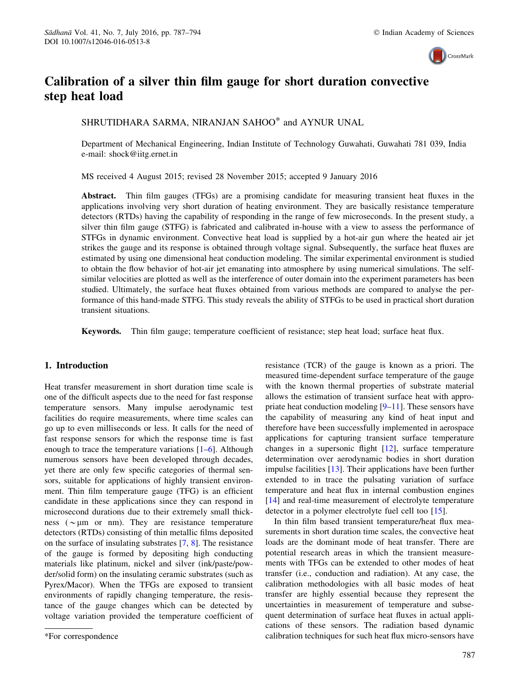

# Calibration of a silver thin film gauge for short duration convective step heat load

SHRUTIDHARA SARMA, NIRANJAN SAHOO\* and AYNUR UNAL

Department of Mechanical Engineering, Indian Institute of Technology Guwahati, Guwahati 781 039, India e-mail: shock@iitg.ernet.in

MS received 4 August 2015; revised 28 November 2015; accepted 9 January 2016

Abstract. Thin film gauges (TFGs) are a promising candidate for measuring transient heat fluxes in the applications involving very short duration of heating environment. They are basically resistance temperature detectors (RTDs) having the capability of responding in the range of few microseconds. In the present study, a silver thin film gauge (STFG) is fabricated and calibrated in-house with a view to assess the performance of STFGs in dynamic environment. Convective heat load is supplied by a hot-air gun where the heated air jet strikes the gauge and its response is obtained through voltage signal. Subsequently, the surface heat fluxes are estimated by using one dimensional heat conduction modeling. The similar experimental environment is studied to obtain the flow behavior of hot-air jet emanating into atmosphere by using numerical simulations. The selfsimilar velocities are plotted as well as the interference of outer domain into the experiment parameters has been studied. Ultimately, the surface heat fluxes obtained from various methods are compared to analyse the performance of this hand-made STFG. This study reveals the ability of STFGs to be used in practical short duration transient situations.

Keywords. Thin film gauge; temperature coefficient of resistance; step heat load; surface heat flux.

## 1. Introduction

Heat transfer measurement in short duration time scale is one of the difficult aspects due to the need for fast response temperature sensors. Many impulse aerodynamic test facilities do require measurements, where time scales can go up to even milliseconds or less. It calls for the need of fast response sensors for which the response time is fast enough to trace the temperature variations  $[1-6]$ . Although numerous sensors have been developed through decades, yet there are only few specific categories of thermal sensors, suitable for applications of highly transient environment. Thin film temperature gauge (TFG) is an efficient candidate in these applications since they can respond in microsecond durations due to their extremely small thickness ( $\sim \mu$ m or nm). They are resistance temperature detectors (RTDs) consisting of thin metallic films deposited on the surface of insulating substrates [7, 8]. The resistance of the gauge is formed by depositing high conducting materials like platinum, nickel and silver (ink/paste/powder/solid form) on the insulating ceramic substrates (such as Pyrex/Macor). When the TFGs are exposed to transient environments of rapidly changing temperature, the resistance of the gauge changes which can be detected by voltage variation provided the temperature coefficient of resistance (TCR) of the gauge is known as a priori. The measured time-dependent surface temperature of the gauge with the known thermal properties of substrate material allows the estimation of transient surface heat with appropriate heat conduction modeling [9–11]. These sensors have the capability of measuring any kind of heat input and therefore have been successfully implemented in aerospace applications for capturing transient surface temperature changes in a supersonic flight [12], surface temperature determination over aerodynamic bodies in short duration impulse facilities [13]. Their applications have been further extended to in trace the pulsating variation of surface temperature and heat flux in internal combustion engines [14] and real-time measurement of electrolyte temperature detector in a polymer electrolyte fuel cell too [15].

In thin film based transient temperature/heat flux measurements in short duration time scales, the convective heat loads are the dominant mode of heat transfer. There are potential research areas in which the transient measurements with TFGs can be extended to other modes of heat transfer (i.e., conduction and radiation). At any case, the calibration methodologies with all basic modes of heat transfer are highly essential because they represent the uncertainties in measurement of temperature and subsequent determination of surface heat fluxes in actual applications of these sensors. The radiation based dynamic \*For correspondence calibration techniques for such heat flux micro-sensors have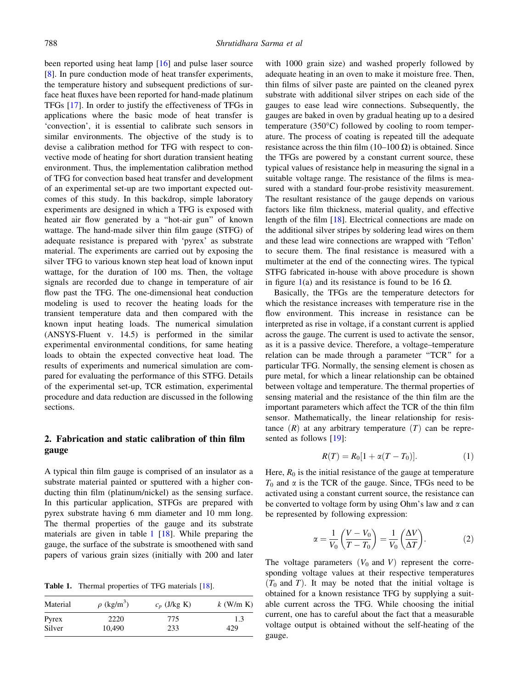been reported using heat lamp [16] and pulse laser source [8]. In pure conduction mode of heat transfer experiments, the temperature history and subsequent predictions of surface heat fluxes have been reported for hand-made platinum TFGs [17]. In order to justify the effectiveness of TFGs in applications where the basic mode of heat transfer is 'convection', it is essential to calibrate such sensors in similar environments. The objective of the study is to devise a calibration method for TFG with respect to convective mode of heating for short duration transient heating environment. Thus, the implementation calibration method of TFG for convection based heat transfer and development of an experimental set-up are two important expected outcomes of this study. In this backdrop, simple laboratory experiments are designed in which a TFG is exposed with heated air flow generated by a ''hot-air gun'' of known wattage. The hand-made silver thin film gauge (STFG) of adequate resistance is prepared with 'pyrex' as substrate material. The experiments are carried out by exposing the silver TFG to various known step heat load of known input wattage, for the duration of 100 ms. Then, the voltage signals are recorded due to change in temperature of air flow past the TFG. The one-dimensional heat conduction modeling is used to recover the heating loads for the transient temperature data and then compared with the known input heating loads. The numerical simulation (ANSYS-Fluent v. 14.5) is performed in the similar experimental environmental conditions, for same heating loads to obtain the expected convective heat load. The results of experiments and numerical simulation are compared for evaluating the performance of this STFG. Details of the experimental set-up, TCR estimation, experimental procedure and data reduction are discussed in the following sections.

# 2. Fabrication and static calibration of thin film gauge

A typical thin film gauge is comprised of an insulator as a substrate material painted or sputtered with a higher conducting thin film (platinum/nickel) as the sensing surface. In this particular application, STFGs are prepared with pyrex substrate having 6 mm diameter and 10 mm long. The thermal properties of the gauge and its substrate materials are given in table  $1 \, [18]$ . While preparing the gauge, the surface of the substrate is smoothened with sand papers of various grain sizes (initially with 200 and later

Table 1. Thermal properties of TFG materials [18].

| Material | $\rho$ (kg/m <sup>3</sup> ) | $c_p$ (J/kg K) | $k$ (W/m K) |
|----------|-----------------------------|----------------|-------------|
| Pyrex    | 2220                        | 775            | 1.3         |
| Silver   | 10.490                      | 233            | 429         |

with 1000 grain size) and washed properly followed by adequate heating in an oven to make it moisture free. Then, thin films of silver paste are painted on the cleaned pyrex substrate with additional silver stripes on each side of the gauges to ease lead wire connections. Subsequently, the gauges are baked in oven by gradual heating up to a desired temperature  $(350^{\circ}C)$  followed by cooling to room temperature. The process of coating is repeated till the adequate resistance across the thin film (10–100  $\Omega$ ) is obtained. Since the TFGs are powered by a constant current source, these typical values of resistance help in measuring the signal in a suitable voltage range. The resistance of the films is measured with a standard four-probe resistivity measurement. The resultant resistance of the gauge depends on various factors like film thickness, material quality, and effective length of the film [18]. Electrical connections are made on the additional silver stripes by soldering lead wires on them and these lead wire connections are wrapped with 'Teflon' to secure them. The final resistance is measured with a multimeter at the end of the connecting wires. The typical STFG fabricated in-house with above procedure is shown in figure 1(a) and its resistance is found to be 16  $\Omega$ .

Basically, the TFGs are the temperature detectors for which the resistance increases with temperature rise in the flow environment. This increase in resistance can be interpreted as rise in voltage, if a constant current is applied across the gauge. The current is used to activate the sensor, as it is a passive device. Therefore, a voltage–temperature relation can be made through a parameter ''TCR'' for a particular TFG. Normally, the sensing element is chosen as pure metal, for which a linear relationship can be obtained between voltage and temperature. The thermal properties of sensing material and the resistance of the thin film are the important parameters which affect the TCR of the thin film sensor. Mathematically, the linear relationship for resistance  $(R)$  at any arbitrary temperature  $(T)$  can be represented as follows [19]:

$$
R(T) = R_0[1 + \alpha(T - T_0)].
$$
 (1)

Here,  $R_0$  is the initial resistance of the gauge at temperature  $T_0$  and  $\alpha$  is the TCR of the gauge. Since, TFGs need to be activated using a constant current source, the resistance can be converted to voltage form by using Ohm's law and  $\alpha$  can be represented by following expression:

$$
\alpha = \frac{1}{V_0} \left( \frac{V - V_0}{T - T_0} \right) = \frac{1}{V_0} \left( \frac{\Delta V}{\Delta T} \right). \tag{2}
$$

The voltage parameters  $(V_0$  and V) represent the corresponding voltage values at their respective temperatures  $(T_0$  and T). It may be noted that the initial voltage is obtained for a known resistance TFG by supplying a suitable current across the TFG. While choosing the initial current, one has to careful about the fact that a measurable voltage output is obtained without the self-heating of the gauge.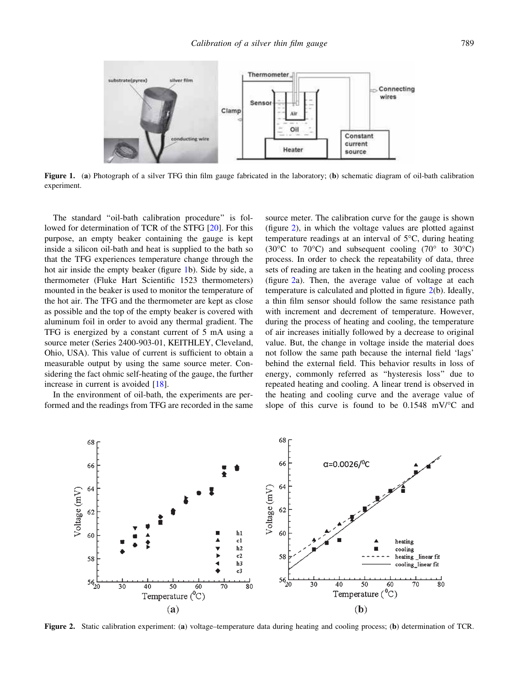

Figure 1. (a) Photograph of a silver TFG thin film gauge fabricated in the laboratory; (b) schematic diagram of oil-bath calibration experiment.

The standard ''oil-bath calibration procedure'' is followed for determination of TCR of the STFG [20]. For this purpose, an empty beaker containing the gauge is kept inside a silicon oil-bath and heat is supplied to the bath so that the TFG experiences temperature change through the hot air inside the empty beaker (figure 1b). Side by side, a thermometer (Fluke Hart Scientific 1523 thermometers) mounted in the beaker is used to monitor the temperature of the hot air. The TFG and the thermometer are kept as close as possible and the top of the empty beaker is covered with aluminum foil in order to avoid any thermal gradient. The TFG is energized by a constant current of 5 mA using a source meter (Series 2400-903-01, KEITHLEY, Cleveland, Ohio, USA). This value of current is sufficient to obtain a measurable output by using the same source meter. Considering the fact ohmic self-heating of the gauge, the further increase in current is avoided [18].

In the environment of oil-bath, the experiments are performed and the readings from TFG are recorded in the same source meter. The calibration curve for the gauge is shown (figure 2), in which the voltage values are plotted against temperature readings at an interval of  $5^{\circ}$ C, during heating (30 $\degree$ C to 70 $\degree$ C) and subsequent cooling (70 $\degree$  to 30 $\degree$ C) process. In order to check the repeatability of data, three sets of reading are taken in the heating and cooling process (figure 2a). Then, the average value of voltage at each temperature is calculated and plotted in figure 2(b). Ideally, a thin film sensor should follow the same resistance path with increment and decrement of temperature. However, during the process of heating and cooling, the temperature of air increases initially followed by a decrease to original value. But, the change in voltage inside the material does not follow the same path because the internal field 'lags' behind the external field. This behavior results in loss of energy, commonly referred as ''hysteresis loss'' due to repeated heating and cooling. A linear trend is observed in the heating and cooling curve and the average value of slope of this curve is found to be  $0.1548$  mV/ $\degree$ C and



Figure 2. Static calibration experiment: (a) voltage–temperature data during heating and cooling process; (b) determination of TCR.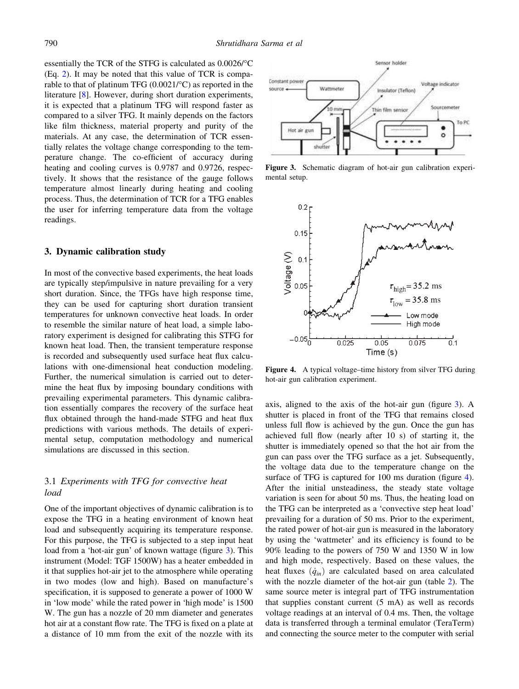essentially the TCR of the STFG is calculated as  $0.0026$ <sup>o</sup>C (Eq. 2). It may be noted that this value of TCR is comparable to that of platinum TFG  $(0.0021/\textdegree C)$  as reported in the literature [8]. However, during short duration experiments, it is expected that a platinum TFG will respond faster as compared to a silver TFG. It mainly depends on the factors like film thickness, material property and purity of the materials. At any case, the determination of TCR essentially relates the voltage change corresponding to the temperature change. The co-efficient of accuracy during heating and cooling curves is 0.9787 and 0.9726, respectively. It shows that the resistance of the gauge follows temperature almost linearly during heating and cooling process. Thus, the determination of TCR for a TFG enables the user for inferring temperature data from the voltage readings.

#### 3. Dynamic calibration study

In most of the convective based experiments, the heat loads are typically step/impulsive in nature prevailing for a very short duration. Since, the TFGs have high response time, they can be used for capturing short duration transient temperatures for unknown convective heat loads. In order to resemble the similar nature of heat load, a simple laboratory experiment is designed for calibrating this STFG for known heat load. Then, the transient temperature response is recorded and subsequently used surface heat flux calculations with one-dimensional heat conduction modeling. Further, the numerical simulation is carried out to determine the heat flux by imposing boundary conditions with prevailing experimental parameters. This dynamic calibration essentially compares the recovery of the surface heat flux obtained through the hand-made STFG and heat flux predictions with various methods. The details of experimental setup, computation methodology and numerical simulations are discussed in this section.

## 3.1 Experiments with TFG for convective heat load

One of the important objectives of dynamic calibration is to expose the TFG in a heating environment of known heat load and subsequently acquiring its temperature response. For this purpose, the TFG is subjected to a step input heat load from a 'hot-air gun' of known wattage (figure 3). This instrument (Model: TGF 1500W) has a heater embedded in it that supplies hot-air jet to the atmosphere while operating in two modes (low and high). Based on manufacture's specification, it is supposed to generate a power of 1000 W in 'low mode' while the rated power in 'high mode' is 1500 W. The gun has a nozzle of 20 mm diameter and generates hot air at a constant flow rate. The TFG is fixed on a plate at a distance of 10 mm from the exit of the nozzle with its



Figure 3. Schematic diagram of hot-air gun calibration experimental setup.



Figure 4. A typical voltage–time history from silver TFG during hot-air gun calibration experiment.

axis, aligned to the axis of the hot-air gun (figure 3). A shutter is placed in front of the TFG that remains closed unless full flow is achieved by the gun. Once the gun has achieved full flow (nearly after 10 s) of starting it, the shutter is immediately opened so that the hot air from the gun can pass over the TFG surface as a jet. Subsequently, the voltage data due to the temperature change on the surface of TFG is captured for 100 ms duration (figure 4). After the initial unsteadiness, the steady state voltage variation is seen for about 50 ms. Thus, the heating load on the TFG can be interpreted as a 'convective step heat load' prevailing for a duration of 50 ms. Prior to the experiment, the rated power of hot-air gun is measured in the laboratory by using the 'wattmeter' and its efficiency is found to be 90% leading to the powers of 750 W and 1350 W in low and high mode, respectively. Based on these values, the heat fluxes  $(\dot{q}_{in})$  are calculated based on area calculated with the nozzle diameter of the hot-air gun (table 2). The same source meter is integral part of TFG instrumentation that supplies constant current (5 mA) as well as records voltage readings at an interval of 0.4 ms. Then, the voltage data is transferred through a terminal emulator (TeraTerm) and connecting the source meter to the computer with serial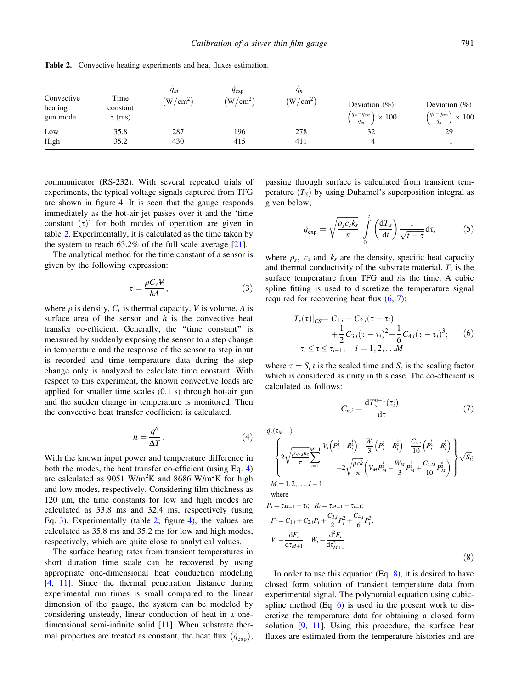| Convective<br>heating<br>gun mode | Time<br>constant<br>$\tau$ (ms) | $q_{in}$<br>(W/cm <sup>2</sup> ) | $q_{\rm exp}$<br>(W/cm <sup>2</sup> ) | $q_n$<br>(W/cm <sup>2</sup> ) | Deviation $(\%)$<br>$\left(\frac{\dot{q}_{in}-\dot{q}_{\rm exp}}{\dot{q}_{in}}\right)$<br>$\times 100$ | Deviation $(\%)$<br>$\left(\dot{q}_n - \dot{q}_{exp}\right)$<br>$\times 100$<br>$\overline{q_n}$ |
|-----------------------------------|---------------------------------|----------------------------------|---------------------------------------|-------------------------------|--------------------------------------------------------------------------------------------------------|--------------------------------------------------------------------------------------------------|
| Low<br>High                       | 35.8<br>35.2                    | 287<br>430                       | 196<br>415                            | 278<br>411                    | 32                                                                                                     | 29                                                                                               |

Table 2. Convective heating experiments and heat fluxes estimation.

communicator (RS-232). With several repeated trials of experiments, the typical voltage signals captured from TFG are shown in figure 4. It is seen that the gauge responds immediately as the hot-air jet passes over it and the 'time constant  $(\tau)$ ' for both modes of operation are given in table 2. Experimentally, it is calculated as the time taken by the system to reach  $63.2\%$  of the full scale average [21].

The analytical method for the time constant of a sensor is given by the following expression:

$$
\tau = \frac{\rho C_v V}{hA},\tag{3}
$$

where  $\rho$  is density,  $C_v$  is thermal capacity,  $V$  is volume, A is surface area of the sensor and  $h$  is the convective heat transfer co-efficient. Generally, the ''time constant'' is measured by suddenly exposing the sensor to a step change in temperature and the response of the sensor to step input is recorded and time–temperature data during the step change only is analyzed to calculate time constant. With respect to this experiment, the known convective loads are applied for smaller time scales (0.1 s) through hot-air gun and the sudden change in temperature is monitored. Then the convective heat transfer coefficient is calculated.

$$
h = \frac{q''}{\Delta T}.\tag{4}
$$

With the known input power and temperature difference in both the modes, the heat transfer co-efficient (using Eq. 4) are calculated as 9051 W/m<sup>2</sup>K and 8686 W/m<sup>2</sup>K for high and low modes, respectively. Considering film thickness as  $120 \mu m$ , the time constants for low and high modes are calculated as 33.8 ms and 32.4 ms, respectively (using Eq. 3). Experimentally (table 2; figure 4), the values are calculated as 35.8 ms and 35.2 ms for low and high modes, respectively, which are quite close to analytical values.

The surface heating rates from transient temperatures in short duration time scale can be recovered by using appropriate one-dimensional heat conduction modeling [4, 11]. Since the thermal penetration distance during experimental run times is small compared to the linear dimension of the gauge, the system can be modeled by considering unsteady, linear conduction of heat in a onedimensional semi-infinite solid [11]. When substrate thermal properties are treated as constant, the heat flux  $(\dot{q}_{exp})$ ,

passing through surface is calculated from transient temperature  $(T<sub>S</sub>)$  by using Duhamel's superposition integral as given below;

$$
\dot{q}_{\exp} = \sqrt{\frac{\rho_s c_s k_s}{\pi}} \int\limits_0^t \left(\frac{\mathrm{d}T_s}{\mathrm{d}t}\right) \frac{1}{\sqrt{t-\tau}} \mathrm{d}\tau,\tag{5}
$$

where  $\rho_s$ ,  $c_s$  and  $k_s$  are the density, specific heat capacity and thermal conductivity of the substrate material,  $T_s$  is the surface temperature from TFG and tis the time. A cubic spline fitting is used to discretize the temperature signal required for recovering heat flux (6, 7):

$$
[T_s(\tau)]_{CS} = C_{1,i} + C_{2,i}(\tau - \tau_i)
$$
  
+  $\frac{1}{2}C_{3,i}(\tau - \tau_i)^2 + \frac{1}{6}C_{4,i}(\tau - \tau_i)^3;$  (6)  
 $\tau_i \le \tau \le \tau_{i-1}, \quad i = 1, 2, ... M$ 

where  $\tau = S_t t$  is the scaled time and  $S_t$  is the scaling factor which is considered as unity in this case. The co-efficient is calculated as follows:

$$
C_{n,i} = \frac{\mathrm{d}T_s^{n-1}(\tau_i)}{\mathrm{d}\tau} \tag{7}
$$

 $\dot{q}_r(\tau_{M+1})$ 

$$
= \left\{ 2\sqrt{\frac{\rho_s c_s k_s}{\pi}} \sum_{i=1}^{M-1} \frac{V_i \left( P_i^{\frac{1}{2}} - R_i^{\frac{1}{2}} \right) - \frac{W_i}{3} \left( P_i^{\frac{3}{2}} - R_i^{\frac{3}{2}} \right) + \frac{C_{4,i}}{10} \left( P_i^{\frac{5}{2}} - R_i^{\frac{5}{2}} \right)}{+2\sqrt{\frac{\rho c k}{\pi}} \left( V_M P_M^{\frac{1}{2}} - \frac{W_M}{3} P_M^{\frac{3}{2}} + \frac{C_{4,M}}{10} P_M^{\frac{5}{2}} \right)} \right\} \sqrt{S_t};
$$
  
M = 1, 2, ..., J - 1

where

$$
P_i = \tau_{M-1} - \tau_i; \quad R_i = \tau_{M+1} - \tau_{i+1};
$$
  
\n
$$
F_i = C_{1,i} + C_{2,i}P_i + \frac{C_{3,i}}{2}P_i^2 + \frac{C_{4,i}}{6}P_i^3;
$$
  
\n
$$
V_i = \frac{dF_i}{d\tau_{M+1}}; \quad W_i = \frac{d^2F_i}{d\tau_{M+1}^2}
$$
\n(8)

In order to use this equation  $(Eq. 8)$ , it is desired to have closed form solution of transient temperature data from experimental signal. The polynomial equation using cubicspline method  $(Eq. 6)$  is used in the present work to discretize the temperature data for obtaining a closed form solution [9, 11]. Using this procedure, the surface heat fluxes are estimated from the temperature histories and are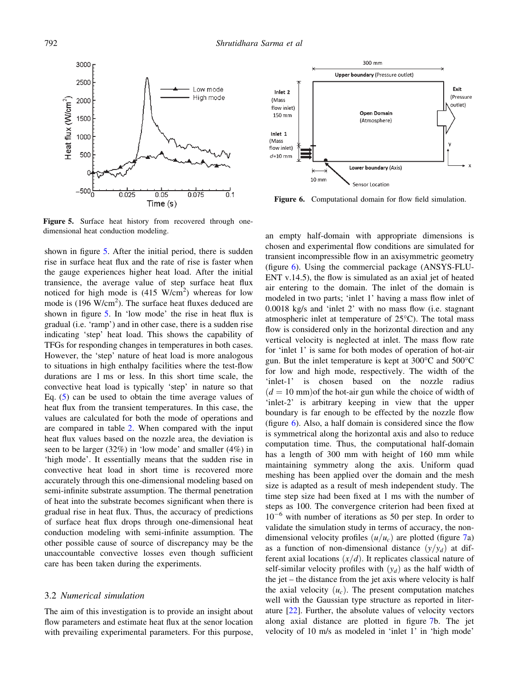

Figure 5. Surface heat history from recovered through onedimensional heat conduction modeling.

shown in figure 5. After the initial period, there is sudden rise in surface heat flux and the rate of rise is faster when the gauge experiences higher heat load. After the initial transience, the average value of step surface heat flux noticed for high mode is  $(415 \text{ W/cm}^2)$  whereas for low mode is (196 W/cm<sup>2</sup>). The surface heat fluxes deduced are shown in figure 5. In 'low mode' the rise in heat flux is gradual (i.e. 'ramp') and in other case, there is a sudden rise indicating 'step' heat load. This shows the capability of TFGs for responding changes in temperatures in both cases. However, the 'step' nature of heat load is more analogous to situations in high enthalpy facilities where the test-flow durations are 1 ms or less. In this short time scale, the convective heat load is typically 'step' in nature so that Eq. (5) can be used to obtain the time average values of heat flux from the transient temperatures. In this case, the values are calculated for both the mode of operations and are compared in table 2. When compared with the input heat flux values based on the nozzle area, the deviation is seen to be larger (32%) in 'low mode' and smaller (4%) in 'high mode'. It essentially means that the sudden rise in convective heat load in short time is recovered more accurately through this one-dimensional modeling based on semi-infinite substrate assumption. The thermal penetration of heat into the substrate becomes significant when there is gradual rise in heat flux. Thus, the accuracy of predictions of surface heat flux drops through one-dimensional heat conduction modeling with semi-infinite assumption. The other possible cause of source of discrepancy may be the unaccountable convective losses even though sufficient care has been taken during the experiments.

#### 3.2 Numerical simulation

The aim of this investigation is to provide an insight about flow parameters and estimate heat flux at the senor location with prevailing experimental parameters. For this purpose,



Figure 6. Computational domain for flow field simulation.

an empty half-domain with appropriate dimensions is chosen and experimental flow conditions are simulated for transient incompressible flow in an axisymmetric geometry (figure 6). Using the commercial package (ANSYS-FLU-ENT v.14.5), the flow is simulated as an axial jet of heated air entering to the domain. The inlet of the domain is modeled in two parts; 'inlet 1' having a mass flow inlet of 0.0018 kg/s and 'inlet 2' with no mass flow (i.e. stagnant atmospheric inlet at temperature of  $25^{\circ}$ C). The total mass flow is considered only in the horizontal direction and any vertical velocity is neglected at inlet. The mass flow rate for 'inlet 1' is same for both modes of operation of hot-air gun. But the inlet temperature is kept at  $300^{\circ}$ C and  $500^{\circ}$ C for low and high mode, respectively. The width of the 'inlet-1' is chosen based on the nozzle radius  $(d = 10 \text{ mm})$  of the hot-air gun while the choice of width of 'inlet-2' is arbitrary keeping in view that the upper boundary is far enough to be effected by the nozzle flow (figure 6). Also, a half domain is considered since the flow is symmetrical along the horizontal axis and also to reduce computation time. Thus, the computational half-domain has a length of 300 mm with height of 160 mm while maintaining symmetry along the axis. Uniform quad meshing has been applied over the domain and the mesh size is adapted as a result of mesh independent study. The time step size had been fixed at 1 ms with the number of steps as 100. The convergence criterion had been fixed at  $10^{-6}$  with number of iterations as 50 per step. In order to validate the simulation study in terms of accuracy, the nondimensional velocity profiles  $(u/u_c)$  are plotted (figure 7a) as a function of non-dimensional distance  $(y/y_d)$  at different axial locations  $(x/d)$ . It replicates classical nature of self-similar velocity profiles with  $(y_d)$  as the half width of the jet – the distance from the jet axis where velocity is half the axial velocity  $(u_c)$ . The present computation matches well with the Gaussian type structure as reported in literature [22]. Further, the absolute values of velocity vectors along axial distance are plotted in figure 7b. The jet velocity of 10 m/s as modeled in 'inlet 1' in 'high mode'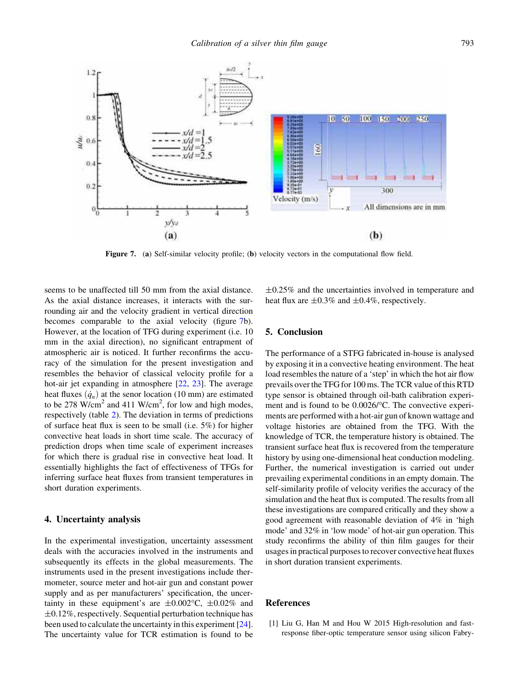

Figure 7. (a) Self-similar velocity profile; (b) velocity vectors in the computational flow field.

seems to be unaffected till 50 mm from the axial distance. As the axial distance increases, it interacts with the surrounding air and the velocity gradient in vertical direction becomes comparable to the axial velocity (figure 7b). However, at the location of TFG during experiment (i.e. 10 mm in the axial direction), no significant entrapment of atmospheric air is noticed. It further reconfirms the accuracy of the simulation for the present investigation and resembles the behavior of classical velocity profile for a hot-air jet expanding in atmosphere [22, 23]. The average heat fluxes  $(\dot{q}_n)$  at the senor location (10 mm) are estimated to be 278  $W/cm<sup>2</sup>$  and 411  $W/cm<sup>2</sup>$ , for low and high modes, respectively (table 2). The deviation in terms of predictions of surface heat flux is seen to be small (i.e. 5%) for higher convective heat loads in short time scale. The accuracy of prediction drops when time scale of experiment increases for which there is gradual rise in convective heat load. It essentially highlights the fact of effectiveness of TFGs for inferring surface heat fluxes from transient temperatures in short duration experiments.

#### 4. Uncertainty analysis

In the experimental investigation, uncertainty assessment deals with the accuracies involved in the instruments and subsequently its effects in the global measurements. The instruments used in the present investigations include thermometer, source meter and hot-air gun and constant power supply and as per manufacturers' specification, the uncertainty in these equipment's are  $\pm 0.002$ °C,  $\pm 0.02\%$  and  $\pm 0.12\%$ , respectively. Sequential perturbation technique has been used to calculate the uncertainty in this experiment [24]. The uncertainty value for TCR estimation is found to be

 $\pm 0.25\%$  and the uncertainties involved in temperature and heat flux are  $\pm 0.3\%$  and  $\pm 0.4\%$ , respectively.

### 5. Conclusion

The performance of a STFG fabricated in-house is analysed by exposing it in a convective heating environment. The heat load resembles the nature of a 'step' in which the hot air flow prevails over the TFG for 100 ms. The TCR value of this RTD type sensor is obtained through oil-bath calibration experiment and is found to be 0.0026/°C. The convective experiments are performed with a hot-air gun of known wattage and voltage histories are obtained from the TFG. With the knowledge of TCR, the temperature history is obtained. The transient surface heat flux is recovered from the temperature history by using one-dimensional heat conduction modeling. Further, the numerical investigation is carried out under prevailing experimental conditions in an empty domain. The self-similarity profile of velocity verifies the accuracy of the simulation and the heat flux is computed. The results from all these investigations are compared critically and they show a good agreement with reasonable deviation of 4% in 'high mode' and 32% in 'low mode' of hot-air gun operation. This study reconfirms the ability of thin film gauges for their usages in practical purposes to recover convective heat fluxes in short duration transient experiments.

### References

[1] Liu G, Han M and Hou W 2015 High-resolution and fastresponse fiber-optic temperature sensor using silicon Fabry